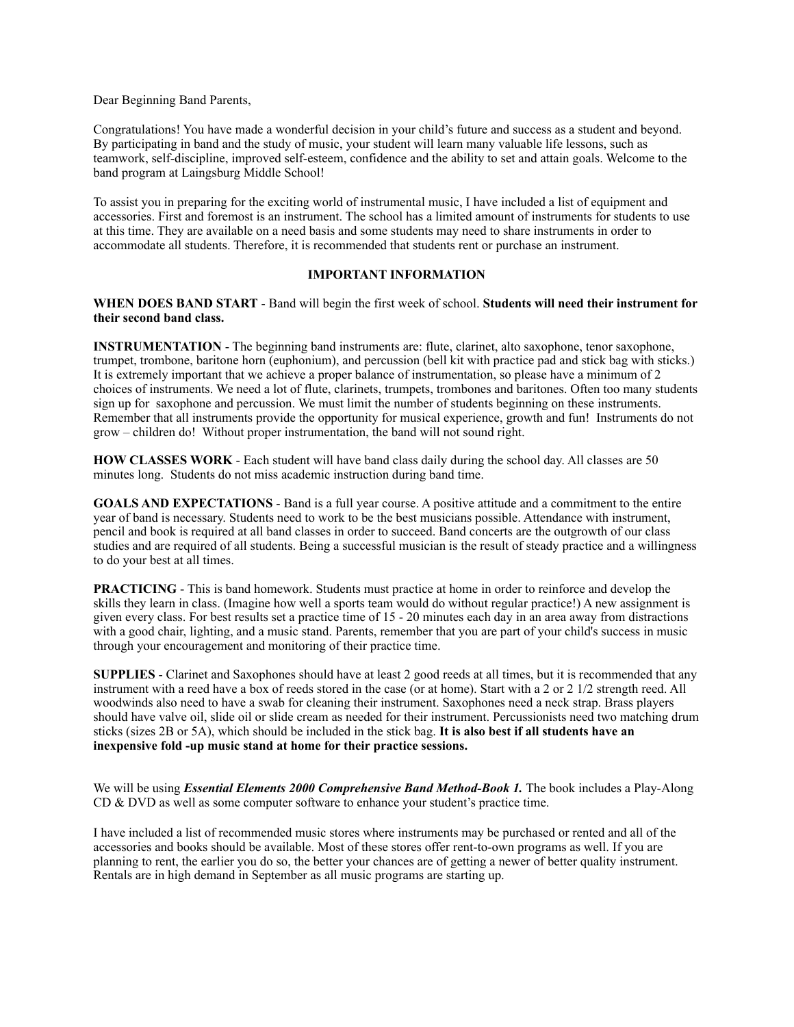Dear Beginning Band Parents,

Congratulations! You have made a wonderful decision in your child's future and success as a student and beyond. By participating in band and the study of music, your student will learn many valuable life lessons, such as teamwork, self-discipline, improved self-esteem, confidence and the ability to set and attain goals. Welcome to the band program at Laingsburg Middle School!

To assist you in preparing for the exciting world of instrumental music, I have included a list of equipment and accessories. First and foremost is an instrument. The school has a limited amount of instruments for students to use at this time. They are available on a need basis and some students may need to share instruments in order to accommodate all students. Therefore, it is recommended that students rent or purchase an instrument.

# **IMPORTANT INFORMATION**

**WHEN DOES BAND START** - Band will begin the first week of school. **Students will need their instrument for their second band class.** 

**INSTRUMENTATION** - The beginning band instruments are: flute, clarinet, alto saxophone, tenor saxophone, trumpet, trombone, baritone horn (euphonium), and percussion (bell kit with practice pad and stick bag with sticks.) It is extremely important that we achieve a proper balance of instrumentation, so please have a minimum of 2 choices of instruments. We need a lot of flute, clarinets, trumpets, trombones and baritones. Often too many students sign up for saxophone and percussion. We must limit the number of students beginning on these instruments. Remember that all instruments provide the opportunity for musical experience, growth and fun! Instruments do not grow – children do! Without proper instrumentation, the band will not sound right.

**HOW CLASSES WORK** - Each student will have band class daily during the school day. All classes are 50 minutes long. Students do not miss academic instruction during band time.

**GOALS AND EXPECTATIONS** - Band is a full year course. A positive attitude and a commitment to the entire year of band is necessary. Students need to work to be the best musicians possible. Attendance with instrument, pencil and book is required at all band classes in order to succeed. Band concerts are the outgrowth of our class studies and are required of all students. Being a successful musician is the result of steady practice and a willingness to do your best at all times.

**PRACTICING** - This is band homework. Students must practice at home in order to reinforce and develop the skills they learn in class. (Imagine how well a sports team would do without regular practice!) A new assignment is given every class. For best results set a practice time of 15 - 20 minutes each day in an area away from distractions with a good chair, lighting, and a music stand. Parents, remember that you are part of your child's success in music through your encouragement and monitoring of their practice time.

**SUPPLIES** - Clarinet and Saxophones should have at least 2 good reeds at all times, but it is recommended that any instrument with a reed have a box of reeds stored in the case (or at home). Start with a 2 or 2 1/2 strength reed. All woodwinds also need to have a swab for cleaning their instrument. Saxophones need a neck strap. Brass players should have valve oil, slide oil or slide cream as needed for their instrument. Percussionists need two matching drum sticks (sizes 2B or 5A), which should be included in the stick bag. **It is also best if all students have an inexpensive fold -up music stand at home for their practice sessions.** 

We will be using *Essential Elements 2000 Comprehensive Band Method-Book 1*. The book includes a Play-Along CD & DVD as well as some computer software to enhance your student's practice time.

I have included a list of recommended music stores where instruments may be purchased or rented and all of the accessories and books should be available. Most of these stores offer rent-to-own programs as well. If you are planning to rent, the earlier you do so, the better your chances are of getting a newer of better quality instrument. Rentals are in high demand in September as all music programs are starting up.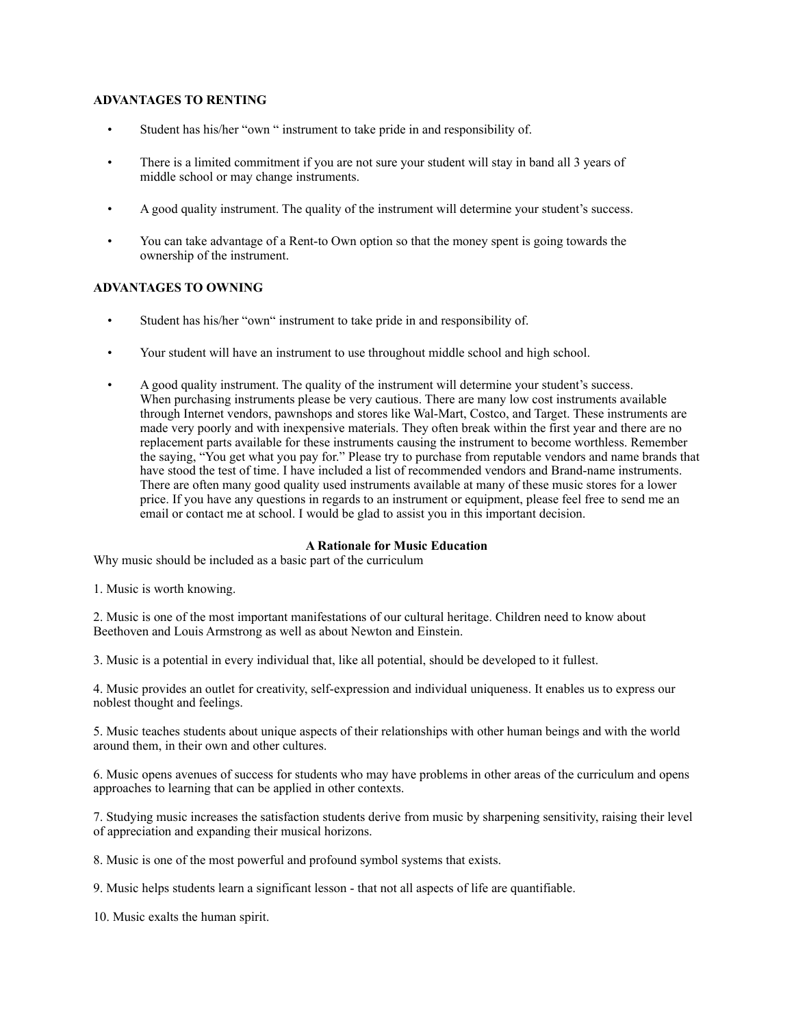# **ADVANTAGES TO RENTING**

- Student has his/her "own " instrument to take pride in and responsibility of.
- There is a limited commitment if you are not sure your student will stay in band all 3 years of middle school or may change instruments.
- A good quality instrument. The quality of the instrument will determine your student's success.
- You can take advantage of a Rent-to Own option so that the money spent is going towards the ownership of the instrument.

# **ADVANTAGES TO OWNING**

- Student has his/her "own" instrument to take pride in and responsibility of.
- Your student will have an instrument to use throughout middle school and high school.
- A good quality instrument. The quality of the instrument will determine your student's success. When purchasing instruments please be very cautious. There are many low cost instruments available through Internet vendors, pawnshops and stores like Wal-Mart, Costco, and Target. These instruments are made very poorly and with inexpensive materials. They often break within the first year and there are no replacement parts available for these instruments causing the instrument to become worthless. Remember the saying, "You get what you pay for." Please try to purchase from reputable vendors and name brands that have stood the test of time. I have included a list of recommended vendors and Brand-name instruments. There are often many good quality used instruments available at many of these music stores for a lower price. If you have any questions in regards to an instrument or equipment, please feel free to send me an email or contact me at school. I would be glad to assist you in this important decision.

### **A Rationale for Music Education**

Why music should be included as a basic part of the curriculum

1. Music is worth knowing.

2. Music is one of the most important manifestations of our cultural heritage. Children need to know about Beethoven and Louis Armstrong as well as about Newton and Einstein.

3. Music is a potential in every individual that, like all potential, should be developed to it fullest.

4. Music provides an outlet for creativity, self-expression and individual uniqueness. It enables us to express our noblest thought and feelings.

5. Music teaches students about unique aspects of their relationships with other human beings and with the world around them, in their own and other cultures.

6. Music opens avenues of success for students who may have problems in other areas of the curriculum and opens approaches to learning that can be applied in other contexts.

7. Studying music increases the satisfaction students derive from music by sharpening sensitivity, raising their level of appreciation and expanding their musical horizons.

8. Music is one of the most powerful and profound symbol systems that exists.

9. Music helps students learn a significant lesson - that not all aspects of life are quantifiable.

10. Music exalts the human spirit.